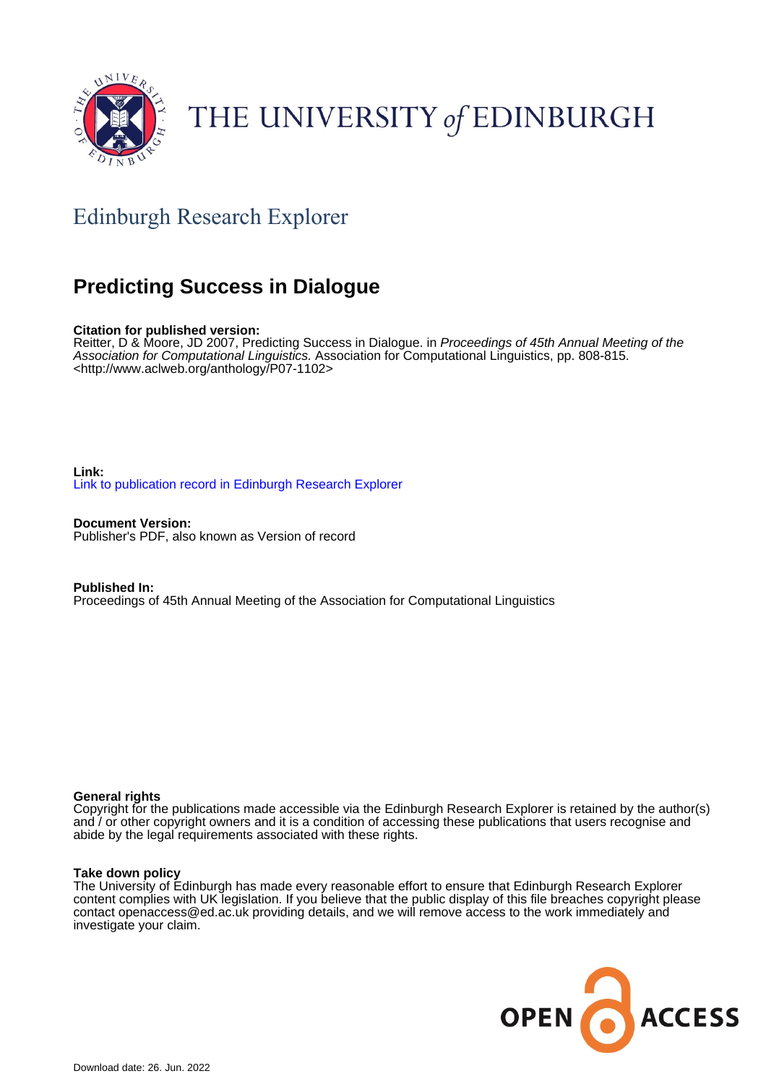

# THE UNIVERSITY of EDINBURGH

# Edinburgh Research Explorer

# **Predicting Success in Dialogue**

# **Citation for published version:**

Reitter, D & Moore, JD 2007, Predicting Success in Dialogue. in *Proceedings of 45th Annual Meeting of the* Association for Computational Linguistics. Association for Computational Linguistics, pp. 808-815. <[http://www.aclweb.org/anthology/P07-1102>](http://www.aclweb.org/anthology/P07-1102)

**Link:** [Link to publication record in Edinburgh Research Explorer](https://www.research.ed.ac.uk/en/publications/550a004e-f2c3-49c5-9005-2e58f34e7ac8)

**Document Version:** Publisher's PDF, also known as Version of record

**Published In:** Proceedings of 45th Annual Meeting of the Association for Computational Linguistics

#### **General rights**

Copyright for the publications made accessible via the Edinburgh Research Explorer is retained by the author(s) and / or other copyright owners and it is a condition of accessing these publications that users recognise and abide by the legal requirements associated with these rights.

#### **Take down policy**

The University of Edinburgh has made every reasonable effort to ensure that Edinburgh Research Explorer content complies with UK legislation. If you believe that the public display of this file breaches copyright please contact openaccess@ed.ac.uk providing details, and we will remove access to the work immediately and investigate your claim.

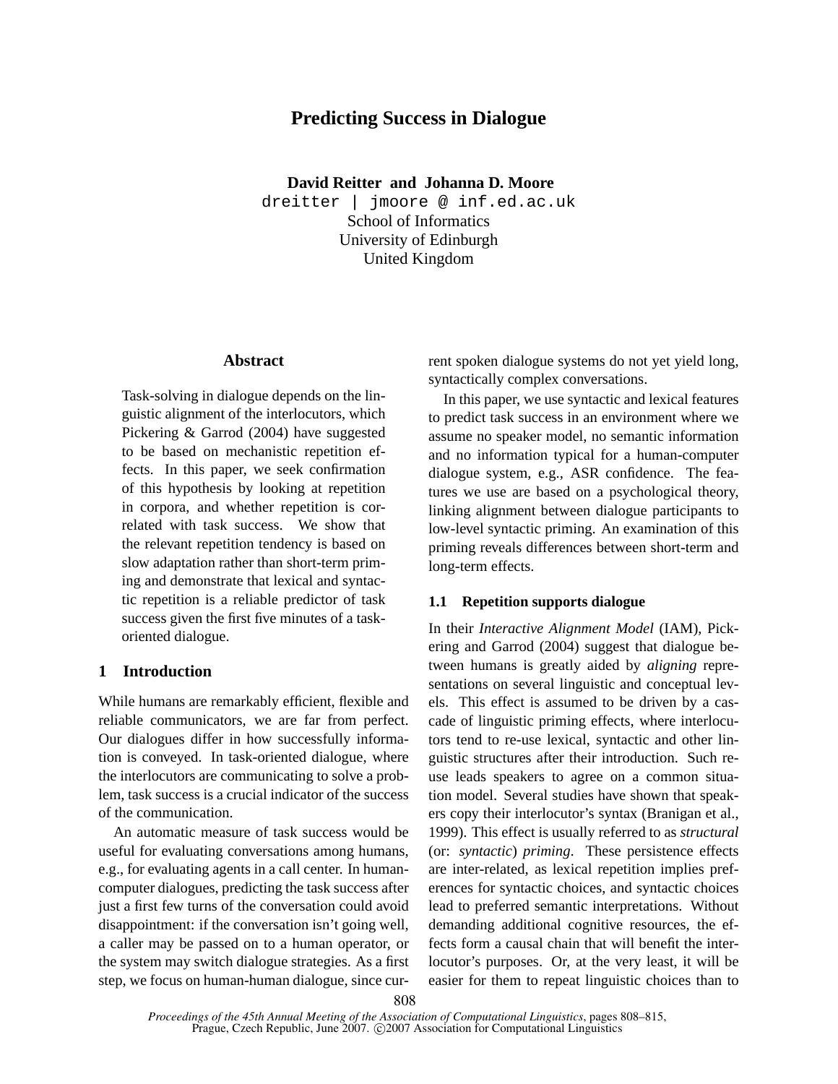# **Predicting Success in Dialogue**

**David Reitter and Johanna D. Moore**

dreitter | jmoore @ inf.ed.ac.uk School of Informatics University of Edinburgh United Kingdom

# **Abstract**

Task-solving in dialogue depends on the linguistic alignment of the interlocutors, which Pickering & Garrod (2004) have suggested to be based on mechanistic repetition effects. In this paper, we seek confirmation of this hypothesis by looking at repetition in corpora, and whether repetition is correlated with task success. We show that the relevant repetition tendency is based on slow adaptation rather than short-term priming and demonstrate that lexical and syntactic repetition is a reliable predictor of task success given the first five minutes of a taskoriented dialogue.

## **1 Introduction**

While humans are remarkably efficient, flexible and reliable communicators, we are far from perfect. Our dialogues differ in how successfully information is conveyed. In task-oriented dialogue, where the interlocutors are communicating to solve a problem, task success is a crucial indicator of the success of the communication.

An automatic measure of task success would be useful for evaluating conversations among humans, e.g., for evaluating agents in a call center. In humancomputer dialogues, predicting the task success after just a first few turns of the conversation could avoid disappointment: if the conversation isn't going well, a caller may be passed on to a human operator, or the system may switch dialogue strategies. As a first step, we focus on human-human dialogue, since current spoken dialogue systems do not yet yield long, syntactically complex conversations.

In this paper, we use syntactic and lexical features to predict task success in an environment where we assume no speaker model, no semantic information and no information typical for a human-computer dialogue system, e.g., ASR confidence. The features we use are based on a psychological theory, linking alignment between dialogue participants to low-level syntactic priming. An examination of this priming reveals differences between short-term and long-term effects.

# **1.1 Repetition supports dialogue**

In their *Interactive Alignment Model* (IAM), Pickering and Garrod (2004) suggest that dialogue between humans is greatly aided by *aligning* representations on several linguistic and conceptual levels. This effect is assumed to be driven by a cascade of linguistic priming effects, where interlocutors tend to re-use lexical, syntactic and other linguistic structures after their introduction. Such reuse leads speakers to agree on a common situation model. Several studies have shown that speakers copy their interlocutor's syntax (Branigan et al., 1999). This effect is usually referred to as *structural* (or: *syntactic*) *priming*. These persistence effects are inter-related, as lexical repetition implies preferences for syntactic choices, and syntactic choices lead to preferred semantic interpretations. Without demanding additional cognitive resources, the effects form a causal chain that will benefit the interlocutor's purposes. Or, at the very least, it will be easier for them to repeat linguistic choices than to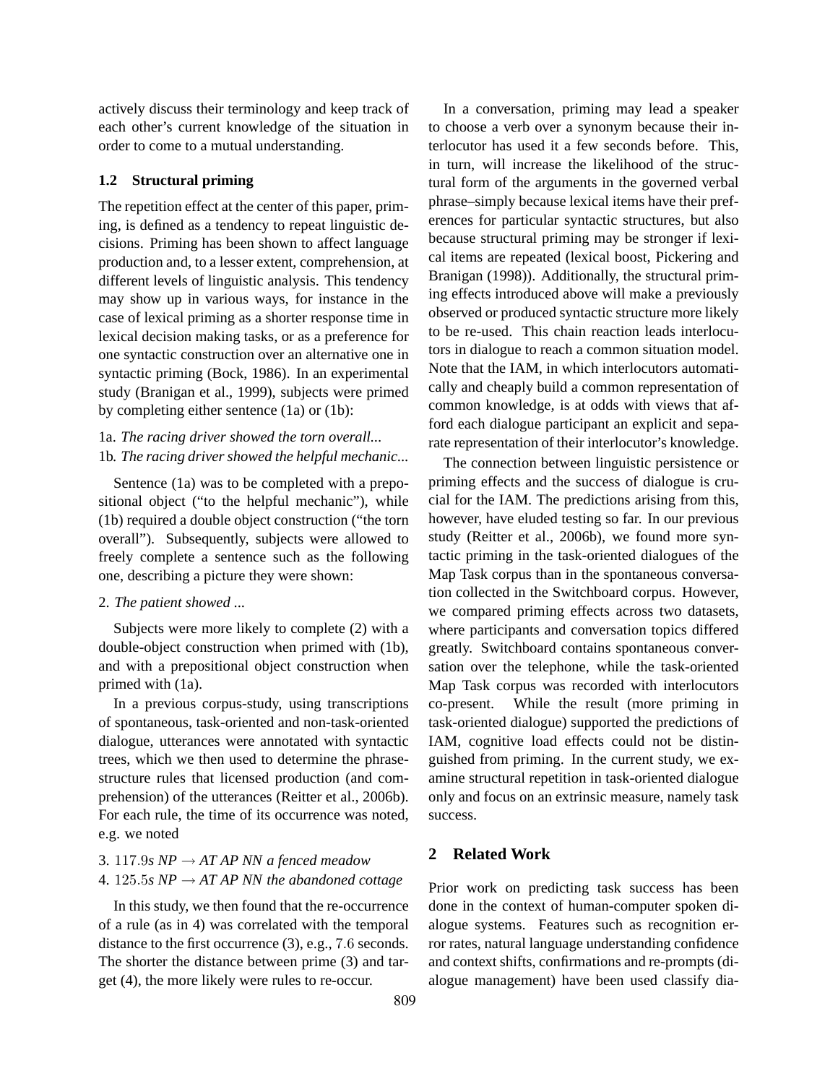actively discuss their terminology and keep track of each other's current knowledge of the situation in order to come to a mutual understanding.

#### **1.2 Structural priming**

The repetition effect at the center of this paper, priming, is defined as a tendency to repeat linguistic decisions. Priming has been shown to affect language production and, to a lesser extent, comprehension, at different levels of linguistic analysis. This tendency may show up in various ways, for instance in the case of lexical priming as a shorter response time in lexical decision making tasks, or as a preference for one syntactic construction over an alternative one in syntactic priming (Bock, 1986). In an experimental study (Branigan et al., 1999), subjects were primed by completing either sentence (1a) or (1b):

# 1a. *The racing driver showed the torn overall...* 1b. *The racing driver showed the helpful mechanic...*

Sentence (1a) was to be completed with a prepositional object ("to the helpful mechanic"), while (1b) required a double object construction ("the torn overall"). Subsequently, subjects were allowed to freely complete a sentence such as the following one, describing a picture they were shown:

#### 2. *The patient showed ...*

Subjects were more likely to complete (2) with a double-object construction when primed with (1b), and with a prepositional object construction when primed with (1a).

In a previous corpus-study, using transcriptions of spontaneous, task-oriented and non-task-oriented dialogue, utterances were annotated with syntactic trees, which we then used to determine the phrasestructure rules that licensed production (and comprehension) of the utterances (Reitter et al., 2006b). For each rule, the time of its occurrence was noted, e.g. we noted

# 3. 117.9*s NP*  $\rightarrow$  *AT AP NN a fenced meadow* 4. 125.5*s NP*  $\rightarrow$  *AT AP NN the abandoned cottage*

In this study, we then found that the re-occurrence of a rule (as in 4) was correlated with the temporal distance to the first occurrence (3), e.g., 7.6 seconds. The shorter the distance between prime (3) and target (4), the more likely were rules to re-occur.

In a conversation, priming may lead a speaker to choose a verb over a synonym because their interlocutor has used it a few seconds before. This, in turn, will increase the likelihood of the structural form of the arguments in the governed verbal phrase–simply because lexical items have their preferences for particular syntactic structures, but also because structural priming may be stronger if lexical items are repeated (lexical boost, Pickering and Branigan (1998)). Additionally, the structural priming effects introduced above will make a previously observed or produced syntactic structure more likely to be re-used. This chain reaction leads interlocutors in dialogue to reach a common situation model. Note that the IAM, in which interlocutors automatically and cheaply build a common representation of common knowledge, is at odds with views that afford each dialogue participant an explicit and separate representation of their interlocutor's knowledge.

The connection between linguistic persistence or priming effects and the success of dialogue is crucial for the IAM. The predictions arising from this, however, have eluded testing so far. In our previous study (Reitter et al., 2006b), we found more syntactic priming in the task-oriented dialogues of the Map Task corpus than in the spontaneous conversation collected in the Switchboard corpus. However, we compared priming effects across two datasets, where participants and conversation topics differed greatly. Switchboard contains spontaneous conversation over the telephone, while the task-oriented Map Task corpus was recorded with interlocutors co-present. While the result (more priming in task-oriented dialogue) supported the predictions of IAM, cognitive load effects could not be distinguished from priming. In the current study, we examine structural repetition in task-oriented dialogue only and focus on an extrinsic measure, namely task success.

# **2 Related Work**

Prior work on predicting task success has been done in the context of human-computer spoken dialogue systems. Features such as recognition error rates, natural language understanding confidence and context shifts, confirmations and re-prompts (dialogue management) have been used classify dia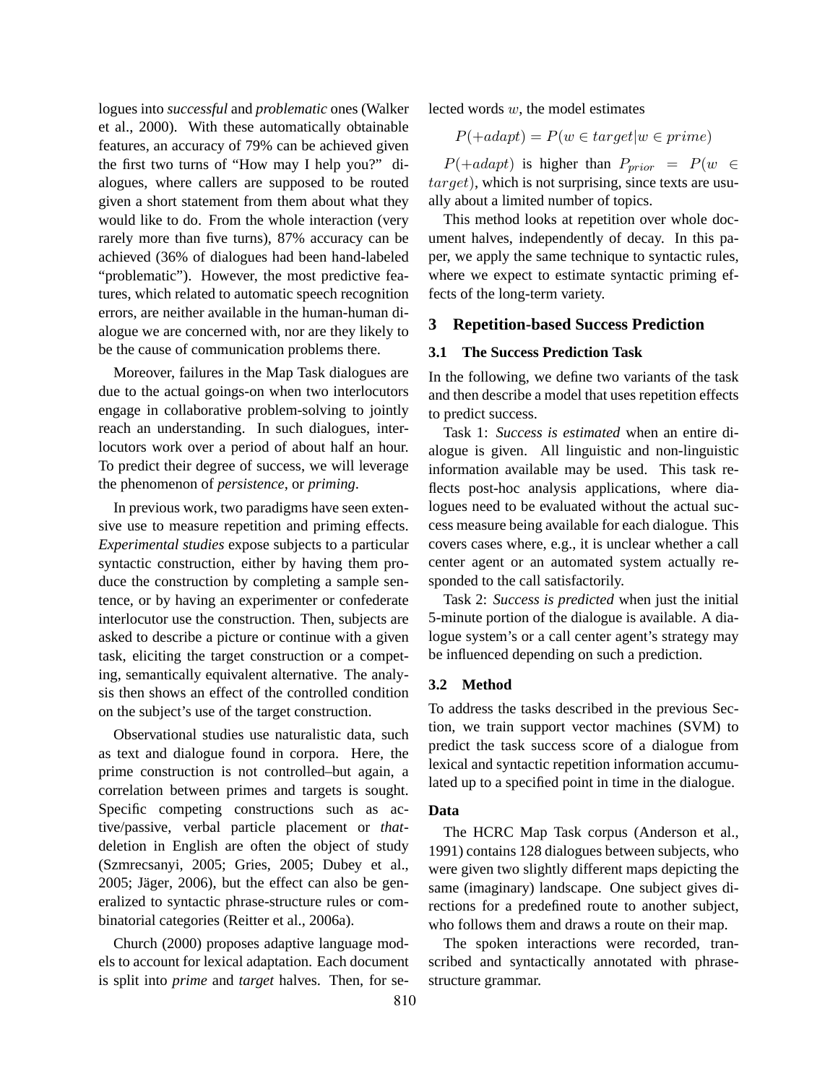logues into *successful* and *problematic* ones (Walker et al., 2000). With these automatically obtainable features, an accuracy of 79% can be achieved given the first two turns of "How may I help you?" dialogues, where callers are supposed to be routed given a short statement from them about what they would like to do. From the whole interaction (very rarely more than five turns), 87% accuracy can be achieved (36% of dialogues had been hand-labeled "problematic"). However, the most predictive features, which related to automatic speech recognition errors, are neither available in the human-human dialogue we are concerned with, nor are they likely to be the cause of communication problems there.

Moreover, failures in the Map Task dialogues are due to the actual goings-on when two interlocutors engage in collaborative problem-solving to jointly reach an understanding. In such dialogues, interlocutors work over a period of about half an hour. To predict their degree of success, we will leverage the phenomenon of *persistence*, or *priming*.

In previous work, two paradigms have seen extensive use to measure repetition and priming effects. *Experimental studies* expose subjects to a particular syntactic construction, either by having them produce the construction by completing a sample sentence, or by having an experimenter or confederate interlocutor use the construction. Then, subjects are asked to describe a picture or continue with a given task, eliciting the target construction or a competing, semantically equivalent alternative. The analysis then shows an effect of the controlled condition on the subject's use of the target construction.

Observational studies use naturalistic data, such as text and dialogue found in corpora. Here, the prime construction is not controlled–but again, a correlation between primes and targets is sought. Specific competing constructions such as active/passive, verbal particle placement or *that*deletion in English are often the object of study (Szmrecsanyi, 2005; Gries, 2005; Dubey et al.,  $2005$ ; Jäger,  $2006$ ), but the effect can also be generalized to syntactic phrase-structure rules or combinatorial categories (Reitter et al., 2006a).

Church (2000) proposes adaptive language models to account for lexical adaptation. Each document is split into *prime* and *target* halves. Then, for selected words  $w$ , the model estimates

$$
P(+adapt) = P(w \in target | w \in prime)
$$

 $P(+adapt)$  is higher than  $P_{prior} = P(w \in$  $target$ ), which is not surprising, since texts are usually about a limited number of topics.

This method looks at repetition over whole document halves, independently of decay. In this paper, we apply the same technique to syntactic rules, where we expect to estimate syntactic priming effects of the long-term variety.

#### **3 Repetition-based Success Prediction**

#### **3.1 The Success Prediction Task**

In the following, we define two variants of the task and then describe a model that uses repetition effects to predict success.

Task 1: *Success is estimated* when an entire dialogue is given. All linguistic and non-linguistic information available may be used. This task reflects post-hoc analysis applications, where dialogues need to be evaluated without the actual success measure being available for each dialogue. This covers cases where, e.g., it is unclear whether a call center agent or an automated system actually responded to the call satisfactorily.

Task 2: *Success is predicted* when just the initial 5-minute portion of the dialogue is available. A dialogue system's or a call center agent's strategy may be influenced depending on such a prediction.

## **3.2 Method**

To address the tasks described in the previous Section, we train support vector machines (SVM) to predict the task success score of a dialogue from lexical and syntactic repetition information accumulated up to a specified point in time in the dialogue.

#### **Data**

The HCRC Map Task corpus (Anderson et al., 1991) contains 128 dialogues between subjects, who were given two slightly different maps depicting the same (imaginary) landscape. One subject gives directions for a predefined route to another subject, who follows them and draws a route on their map.

The spoken interactions were recorded, transcribed and syntactically annotated with phrasestructure grammar.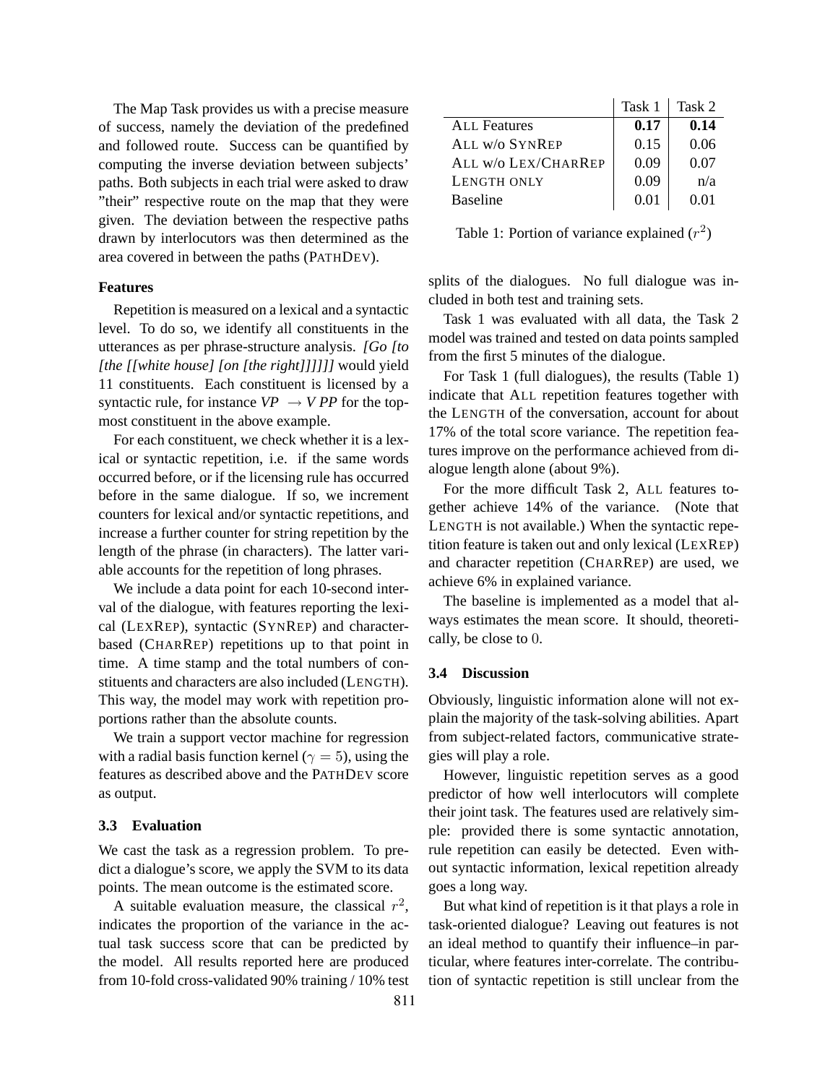The Map Task provides us with a precise measure of success, namely the deviation of the predefined and followed route. Success can be quantified by computing the inverse deviation between subjects' paths. Both subjects in each trial were asked to draw "their" respective route on the map that they were given. The deviation between the respective paths drawn by interlocutors was then determined as the area covered in between the paths (PATHDEV).

#### **Features**

Repetition is measured on a lexical and a syntactic level. To do so, we identify all constituents in the utterances as per phrase-structure analysis. *[Go [to [the [[white house] [on [the right]]]]]]* would yield 11 constituents. Each constituent is licensed by a syntactic rule, for instance  $VP \rightarrow VPP$  for the topmost constituent in the above example.

For each constituent, we check whether it is a lexical or syntactic repetition, i.e. if the same words occurred before, or if the licensing rule has occurred before in the same dialogue. If so, we increment counters for lexical and/or syntactic repetitions, and increase a further counter for string repetition by the length of the phrase (in characters). The latter variable accounts for the repetition of long phrases.

We include a data point for each 10-second interval of the dialogue, with features reporting the lexical (LEXREP), syntactic (SYNREP) and characterbased (CHARREP) repetitions up to that point in time. A time stamp and the total numbers of constituents and characters are also included (LENGTH). This way, the model may work with repetition proportions rather than the absolute counts.

We train a support vector machine for regression with a radial basis function kernel ( $\gamma = 5$ ), using the features as described above and the PATHDEV score as output.

#### **3.3 Evaluation**

We cast the task as a regression problem. To predict a dialogue's score, we apply the SVM to its data points. The mean outcome is the estimated score.

A suitable evaluation measure, the classical  $r^2$ , indicates the proportion of the variance in the actual task success score that can be predicted by the model. All results reported here are produced from 10-fold cross-validated 90% training / 10% test

|                     | Task 1 | Task 2 |
|---------------------|--------|--------|
| ALL Features        | 0.17   | 0.14   |
| ALL W/O SYNREP      | 0.15   | 0.06   |
| ALL W/o LEX/CHARREP | 0.09   | 0.07   |
| LENGTH ONLY         | 0.09   | n/a    |
| <b>Baseline</b>     | 0.01   | O 01   |

Table 1: Portion of variance explained  $(r^2)$ 

splits of the dialogues. No full dialogue was included in both test and training sets.

Task 1 was evaluated with all data, the Task 2 model was trained and tested on data points sampled from the first 5 minutes of the dialogue.

For Task 1 (full dialogues), the results (Table 1) indicate that ALL repetition features together with the LENGTH of the conversation, account for about 17% of the total score variance. The repetition features improve on the performance achieved from dialogue length alone (about 9%).

For the more difficult Task 2, ALL features together achieve 14% of the variance. (Note that LENGTH is not available.) When the syntactic repetition feature is taken out and only lexical (LEXREP) and character repetition (CHARREP) are used, we achieve 6% in explained variance.

The baseline is implemented as a model that always estimates the mean score. It should, theoretically, be close to 0.

#### **3.4 Discussion**

Obviously, linguistic information alone will not explain the majority of the task-solving abilities. Apart from subject-related factors, communicative strategies will play a role.

However, linguistic repetition serves as a good predictor of how well interlocutors will complete their joint task. The features used are relatively simple: provided there is some syntactic annotation, rule repetition can easily be detected. Even without syntactic information, lexical repetition already goes a long way.

But what kind of repetition is it that plays a role in task-oriented dialogue? Leaving out features is not an ideal method to quantify their influence–in particular, where features inter-correlate. The contribution of syntactic repetition is still unclear from the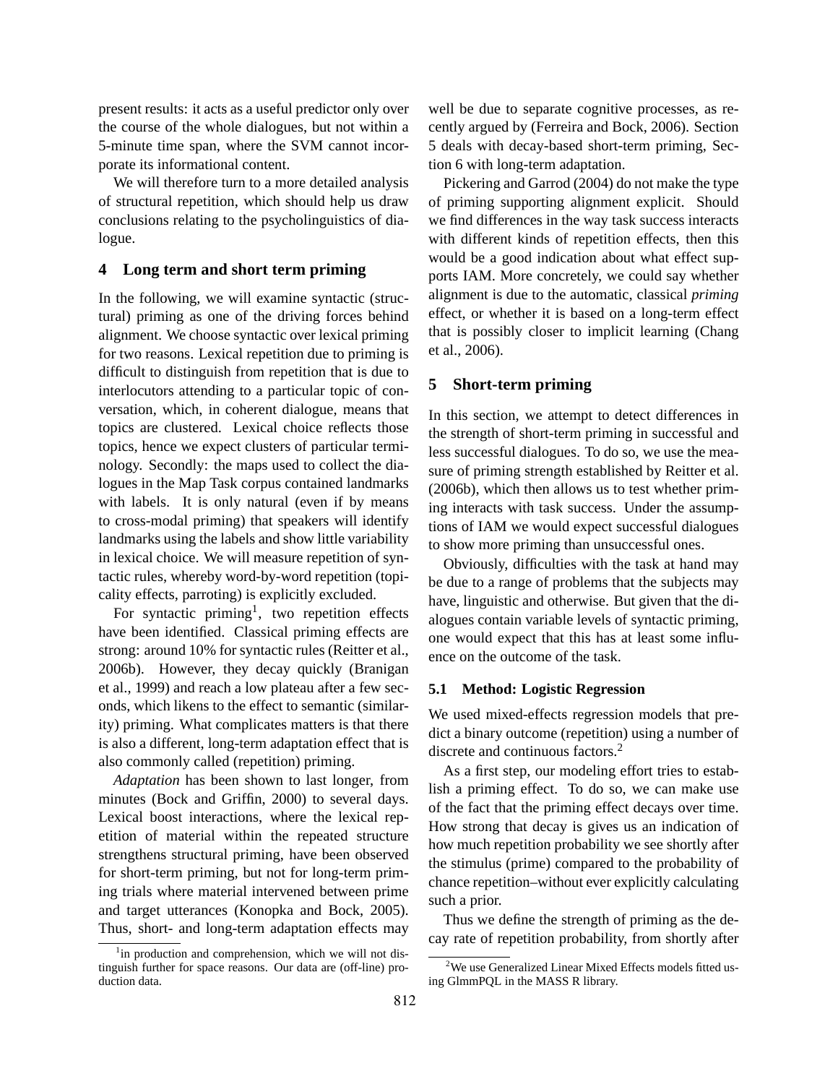present results: it acts as a useful predictor only over the course of the whole dialogues, but not within a 5-minute time span, where the SVM cannot incorporate its informational content.

We will therefore turn to a more detailed analysis of structural repetition, which should help us draw conclusions relating to the psycholinguistics of dialogue.

#### **4 Long term and short term priming**

In the following, we will examine syntactic (structural) priming as one of the driving forces behind alignment. We choose syntactic over lexical priming for two reasons. Lexical repetition due to priming is difficult to distinguish from repetition that is due to interlocutors attending to a particular topic of conversation, which, in coherent dialogue, means that topics are clustered. Lexical choice reflects those topics, hence we expect clusters of particular terminology. Secondly: the maps used to collect the dialogues in the Map Task corpus contained landmarks with labels. It is only natural (even if by means to cross-modal priming) that speakers will identify landmarks using the labels and show little variability in lexical choice. We will measure repetition of syntactic rules, whereby word-by-word repetition (topicality effects, parroting) is explicitly excluded.

For syntactic priming<sup>1</sup>, two repetition effects have been identified. Classical priming effects are strong: around 10% for syntactic rules (Reitter et al., 2006b). However, they decay quickly (Branigan et al., 1999) and reach a low plateau after a few seconds, which likens to the effect to semantic (similarity) priming. What complicates matters is that there is also a different, long-term adaptation effect that is also commonly called (repetition) priming.

*Adaptation* has been shown to last longer, from minutes (Bock and Griffin, 2000) to several days. Lexical boost interactions, where the lexical repetition of material within the repeated structure strengthens structural priming, have been observed for short-term priming, but not for long-term priming trials where material intervened between prime and target utterances (Konopka and Bock, 2005). Thus, short- and long-term adaptation effects may well be due to separate cognitive processes, as recently argued by (Ferreira and Bock, 2006). Section 5 deals with decay-based short-term priming, Section 6 with long-term adaptation.

Pickering and Garrod (2004) do not make the type of priming supporting alignment explicit. Should we find differences in the way task success interacts with different kinds of repetition effects, then this would be a good indication about what effect supports IAM. More concretely, we could say whether alignment is due to the automatic, classical *priming* effect, or whether it is based on a long-term effect that is possibly closer to implicit learning (Chang et al., 2006).

#### **5 Short-term priming**

In this section, we attempt to detect differences in the strength of short-term priming in successful and less successful dialogues. To do so, we use the measure of priming strength established by Reitter et al. (2006b), which then allows us to test whether priming interacts with task success. Under the assumptions of IAM we would expect successful dialogues to show more priming than unsuccessful ones.

Obviously, difficulties with the task at hand may be due to a range of problems that the subjects may have, linguistic and otherwise. But given that the dialogues contain variable levels of syntactic priming, one would expect that this has at least some influence on the outcome of the task.

#### **5.1 Method: Logistic Regression**

We used mixed-effects regression models that predict a binary outcome (repetition) using a number of discrete and continuous factors.<sup>2</sup>

As a first step, our modeling effort tries to establish a priming effect. To do so, we can make use of the fact that the priming effect decays over time. How strong that decay is gives us an indication of how much repetition probability we see shortly after the stimulus (prime) compared to the probability of chance repetition–without ever explicitly calculating such a prior.

Thus we define the strength of priming as the decay rate of repetition probability, from shortly after

<sup>&</sup>lt;sup>1</sup>in production and comprehension, which we will not distinguish further for space reasons. Our data are (off-line) production data.

<sup>&</sup>lt;sup>2</sup>We use Generalized Linear Mixed Effects models fitted using GlmmPQL in the MASS R library.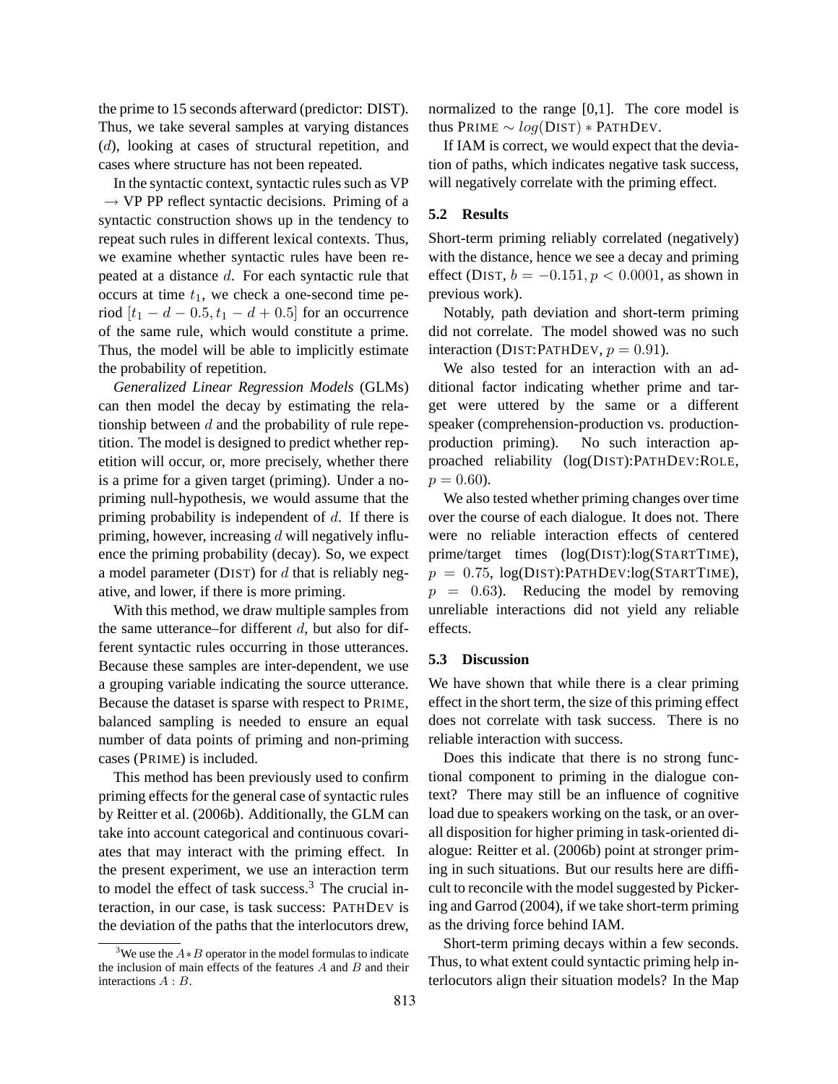the prime to 15 seconds afterward (predictor: DIST). Thus, we take several samples at varying distances (d), looking at cases of structural repetition, and cases where structure has not been repeated.

In the syntactic context, syntactic rules such as VP  $\rightarrow$  VP PP reflect syntactic decisions. Priming of a syntactic construction shows up in the tendency to repeat such rules in different lexical contexts. Thus, we examine whether syntactic rules have been repeated at a distance d. For each syntactic rule that occurs at time  $t_1$ , we check a one-second time period  $[t_1 - d - 0.5, t_1 - d + 0.5]$  for an occurrence of the same rule, which would constitute a prime. Thus, the model will be able to implicitly estimate the probability of repetition.

*Generalized Linear Regression Models* (GLMs) can then model the decay by estimating the relationship between  $d$  and the probability of rule repetition. The model is designed to predict whether repetition will occur, or, more precisely, whether there is a prime for a given target (priming). Under a nopriming null-hypothesis, we would assume that the priming probability is independent of  $d$ . If there is priming, however, increasing  $d$  will negatively influence the priming probability (decay). So, we expect a model parameter ( $\text{DIST}$ ) for d that is reliably negative, and lower, if there is more priming.

With this method, we draw multiple samples from the same utterance–for different  $d$ , but also for different syntactic rules occurring in those utterances. Because these samples are inter-dependent, we use a grouping variable indicating the source utterance. Because the dataset is sparse with respect to PRIME, balanced sampling is needed to ensure an equal number of data points of priming and non-priming cases (PRIME) is included.

This method has been previously used to confirm priming effects for the general case of syntactic rules by Reitter et al. (2006b). Additionally, the GLM can take into account categorical and continuous covariates that may interact with the priming effect. In the present experiment, we use an interaction term to model the effect of task success. $3$  The crucial interaction, in our case, is task success: PATHDEV is the deviation of the paths that the interlocutors drew,

normalized to the range [0,1]. The core model is thus PRIME  $\sim log(DIST) * PATH Dev$ .

If IAM is correct, we would expect that the deviation of paths, which indicates negative task success, will negatively correlate with the priming effect.

# **5.2 Results**

Short-term priming reliably correlated (negatively) with the distance, hence we see a decay and priming effect (DIST,  $b = -0.151, p < 0.0001$ , as shown in previous work).

Notably, path deviation and short-term priming did not correlate. The model showed was no such interaction (DIST: PATHDEV,  $p = 0.91$ ).

We also tested for an interaction with an additional factor indicating whether prime and target were uttered by the same or a different speaker (comprehension-production vs. productionproduction priming). No such interaction approached reliability (log(DIST):PATHDEV:ROLE,  $p = 0.60$ ).

We also tested whether priming changes over time over the course of each dialogue. It does not. There were no reliable interaction effects of centered prime/target times (log(DIST):log(STARTTIME),  $p = 0.75$ ,  $log(DIST):PATHDev:log(STARTTIME)$ ,  $p = 0.63$ ). Reducing the model by removing unreliable interactions did not yield any reliable effects.

#### **5.3 Discussion**

We have shown that while there is a clear priming effect in the short term, the size of this priming effect does not correlate with task success. There is no reliable interaction with success.

Does this indicate that there is no strong functional component to priming in the dialogue context? There may still be an influence of cognitive load due to speakers working on the task, or an overall disposition for higher priming in task-oriented dialogue: Reitter et al. (2006b) point at stronger priming in such situations. But our results here are difficult to reconcile with the model suggested by Pickering and Garrod (2004), if we take short-term priming as the driving force behind IAM.

Short-term priming decays within a few seconds. Thus, to what extent could syntactic priming help interlocutors align their situation models? In the Map

<sup>&</sup>lt;sup>3</sup>We use the  $A * B$  operator in the model formulas to indicate the inclusion of main effects of the features  $A$  and  $B$  and their interactions A : B.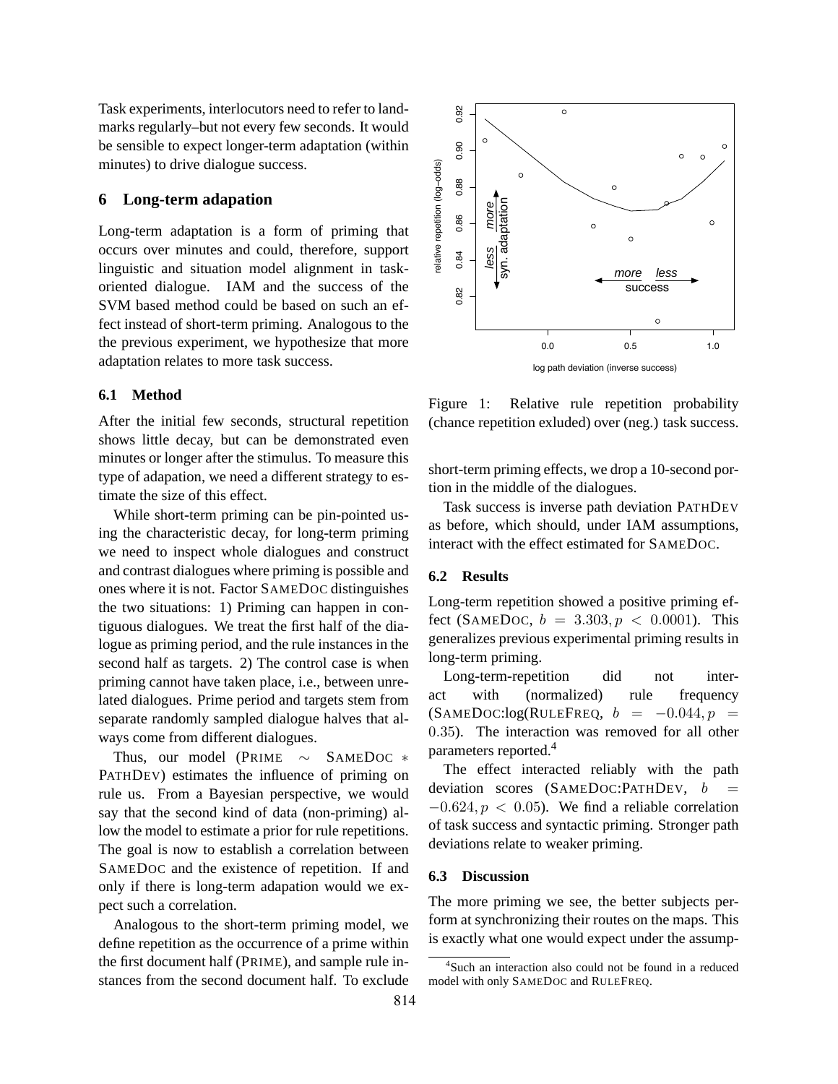Task experiments, interlocutors need to refer to landmarks regularly–but not every few seconds. It would be sensible to expect longer-term adaptation (within minutes) to drive dialogue success.

#### **6 Long-term adapation**

Long-term adaptation is a form of priming that occurs over minutes and could, therefore, support linguistic and situation model alignment in taskoriented dialogue. IAM and the success of the SVM based method could be based on such an effect instead of short-term priming. Analogous to the the previous experiment, we hypothesize that more adaptation relates to more task success.

#### **6.1 Method**

After the initial few seconds, structural repetition shows little decay, but can be demonstrated even minutes or longer after the stimulus. To measure this type of adapation, we need a different strategy to estimate the size of this effect.

While short-term priming can be pin-pointed using the characteristic decay, for long-term priming we need to inspect whole dialogues and construct and contrast dialogues where priming is possible and ones where it is not. Factor SAMEDOC distinguishes the two situations: 1) Priming can happen in contiguous dialogues. We treat the first half of the dialogue as priming period, and the rule instances in the second half as targets. 2) The control case is when priming cannot have taken place, i.e., between unrelated dialogues. Prime period and targets stem from separate randomly sampled dialogue halves that always come from different dialogues.

Thus, our model (PRIME ∼ SAMEDOC ∗ PATHDEV) estimates the influence of priming on rule us. From a Bayesian perspective, we would say that the second kind of data (non-priming) allow the model to estimate a prior for rule repetitions. The goal is now to establish a correlation between SAMEDOC and the existence of repetition. If and only if there is long-term adapation would we expect such a correlation.

Analogous to the short-term priming model, we define repetition as the occurrence of a prime within the first document half (PRIME), and sample rule instances from the second document half. To exclude



Figure 1: Relative rule repetition probability (chance repetition exluded) over (neg.) task success.

short-term priming effects, we drop a 10-second portion in the middle of the dialogues.

Task success is inverse path deviation PATHDEV as before, which should, under IAM assumptions, interact with the effect estimated for SAMEDOC.

#### **6.2 Results**

Long-term repetition showed a positive priming effect (SAMEDOC,  $b = 3.303, p < 0.0001$ ). This generalizes previous experimental priming results in long-term priming.

Long-term-repetition did not interact with (normalized) rule frequency  $(SAMEDOC:log(RULEFREQ, b = -0.044, p =$ 0.35). The interaction was removed for all other parameters reported.<sup>4</sup>

The effect interacted reliably with the path deviation scores (SAMEDOC:PATHDEV,  $b$  $-0.624, p < 0.05$ ). We find a reliable correlation of task success and syntactic priming. Stronger path deviations relate to weaker priming.

#### **6.3 Discussion**

The more priming we see, the better subjects perform at synchronizing their routes on the maps. This is exactly what one would expect under the assump-

<sup>4</sup> Such an interaction also could not be found in a reduced model with only SAMEDOC and RULEFREQ.